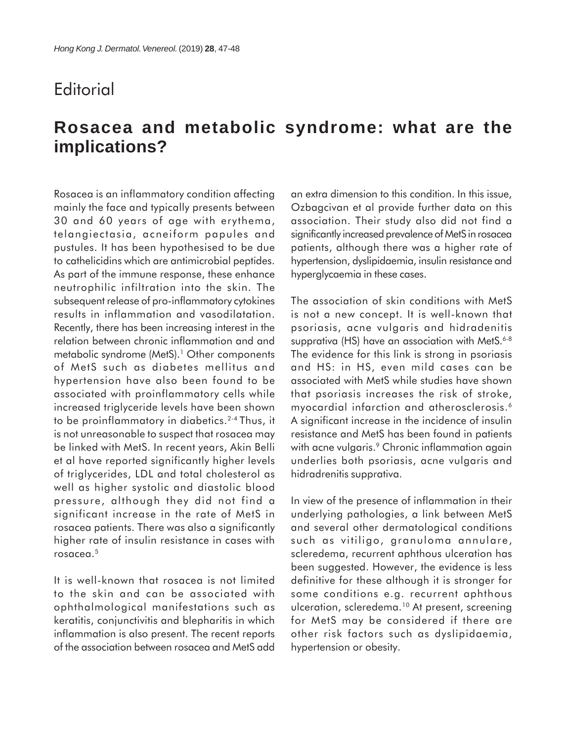## **Editorial**

## **Rosacea and metabolic syndrome: what are the implications?**

Rosacea is an inflammatory condition affecting mainly the face and typically presents between 30 and 60 years of age with erythema, telangiectasia, acneiform papules and pustules. It has been hypothesised to be due to cathelicidins which are antimicrobial peptides. As part of the immune response, these enhance neutrophilic infiltration into the skin. The subsequent release of pro-inflammatory cytokines results in inflammation and vasodilatation. Recently, there has been increasing interest in the relation between chronic inflammation and and metabolic syndrome (MetS).<sup>1</sup> Other components of MetS such as diabetes mellitus and hypertension have also been found to be associated with proinflammatory cells while increased triglyceride levels have been shown to be proinflammatory in diabetics.<sup>2-4</sup> Thus, it is not unreasonable to suspect that rosacea may be linked with MetS. In recent years, Akin Belli et al have reported significantly higher levels of triglycerides, LDL and total cholesterol as well as higher systolic and diastolic blood pressure, although they did not find a significant increase in the rate of MetS in rosacea patients. There was also a significantly higher rate of insulin resistance in cases with rosacea.5

It is well-known that rosacea is not limited to the skin and can be associated with ophthalmological manifestations such as keratitis, conjunctivitis and blepharitis in which inflammation is also present. The recent reports of the association between rosacea and MetS add an extra dimension to this condition. In this issue, Ozbagcivan et al provide further data on this association. Their study also did not find a significantly increased prevalence of MetS in rosacea patients, although there was a higher rate of hypertension, dyslipidaemia, insulin resistance and hyperglycaemia in these cases.

The association of skin conditions with MetS is not a new concept. It is well-known that psoriasis, acne vulgaris and hidradenitis supprativa (HS) have an association with MetS.<sup>6-8</sup> The evidence for this link is strong in psoriasis and HS: in HS, even mild cases can be associated with MetS while studies have shown that psoriasis increases the risk of stroke, myocardial infarction and atherosclerosis.<sup>6</sup> A significant increase in the incidence of insulin resistance and MetS has been found in patients with acne vulgaris.<sup>9</sup> Chronic inflammation again underlies both psoriasis, acne vulgaris and hidradrenitis supprativa.

In view of the presence of inflammation in their underlying pathologies, a link between MetS and several other dermatological conditions such as vitiligo, granuloma annulare, scleredema, recurrent aphthous ulceration has been suggested. However, the evidence is less definitive for these although it is stronger for some conditions e.g. recurrent aphthous ulceration, scleredema.<sup>10</sup> At present, screening for MetS may be considered if there are other risk factors such as dyslipidaemia, hypertension or obesity.